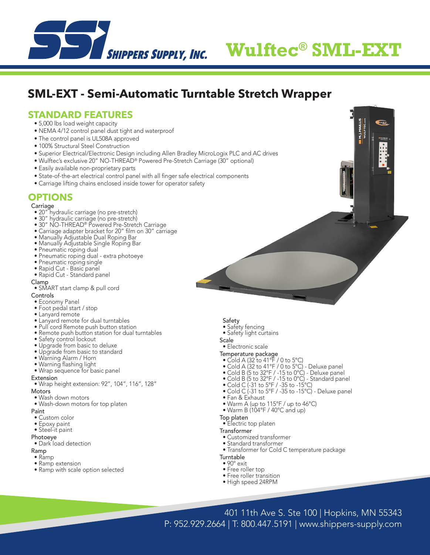

# **SHIPPERS SUPPLY, INC. Wulftec<sup>®</sup> SML-EXT**

**BART** 

**M.J.MAILL**<br>WULFTEC.

## **SML-EXT - Semi-Automatic Turntable Stretch Wrapper**

#### **STANDARD FEATURES**

- 5,000 lbs load weight capacity
- NEMA 4/12 control panel dust tight and waterproof
- The control panel is UL508A approved
- 100% Structural Steel Construction
- Superior Electrical/Electronic Design including Allen Bradley MicroLogix PLC and AC drives
- Wulftec's exclusive 20" NO-THREAD® Powered Pre-Stretch Carriage (30" optional)
- Easily available non-proprietary parts
- State-of-the-art electrical control panel with all finger safe electrical components
- Carriage lifting chains enclosed inside tower for operator safety

### **OPTIONS**

Carriage

- 20" hydraulic carriage (no pre-stretch)
- 30" hydraulic carriage (no pre-stretch)
- 30" NO-THREAD® Powered Pre-Stretch Carriage
- Carriage adapter bracket for 20" film on 30" carriage
- Manually Adjustable Dual Roping Bar
- Manually Adjustable Single Roping Bar
- Pneumatic roping dual
- Pneumatic roping dual extra photoeye
- Pneumatic roping single
- Rapid Cut Basic panel
- Rapid Cut Standard panel

Clamp

- SMART start clamp & pull cord
- Controls
- Economy Panel
- Foot pedal start / stop
- Lanyard remote
- Lanyard remote for dual turntables
- Pull cord Remote push button station
- Remote push button station for dual turntables
- Safety control lockout
- Upgrade from basic to deluxe
- Upgrade from basic to standard
- Warning Alarm / Horn
- Warning flashing light
- Wrap sequence for basic panel
- **Extension**
- Wrap height extension: 92", 104", 116", 128"
- **Motors**
- Wash down motors
- Wash-down motors for top platen

Paint

- Custom color
- Epoxy paint
- Steel-it paint
- Photoeye
- Dark load detection

Ramp

- Ramp
- Ramp extension
- Ramp with scale option selected
- Safety
- Safety fencing
- Safety light curtains
- **Scale**
- Electronic scale
- Temperature package
- Cold A (32 to 41°F / 0 to 5°C)
- Cold A (32 to 41°F / 0 to 5°C) Deluxe panel
- Cold B (5 to 32°F / -15 to 0°C) Deluxe panel
- Cold B (5 to 32°F / -15 to 0°C) Standard panel
- Cold C (-31 to 5°F / -35 to -15°C)
- Cold C (-31 to 5°F / -35 to -15°C) Deluxe panel
- Fan & Exhaust
- Warm A (up to 115°F / up to 46°C)
- Warm B (104°F / 40°C and up)
- Top platen

• Electric top platen

- **Transformer**
- Customized transformer
- Standard transformer
- Transformer for Cold C temperature package
- **Turntable**
- 90° exit
- Free roller top
- Free roller transition • High speed 24RPM
- 401 11th Ave S. Ste 100 | Hopkins, MN 55343 P: 952.929.2664 | T: 800.447.5191 | www.shippers-supply.com